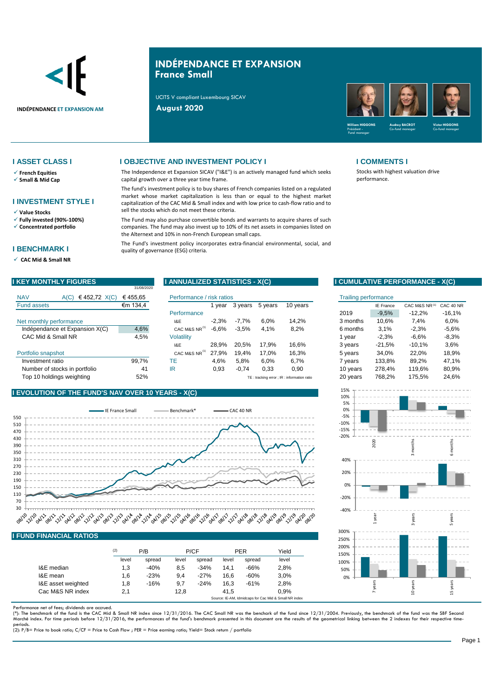

## **INDÉPENDANCE ET EXPANSION France Small**

UCITS V compliant Luxembourg SICAV



- ✓ **French Equities**
- ✓ **Small & Mid Cap**

## **I INVESTMENT STYLE I**

- ✓ **Value Stocks**
- ✓ **Fully invested (90%-100%)**
- ✓ **Concentrated portfolio**

## **I BENCHMARK I**

✓ **CAC Mid & Small NR** 

## **I ASSET CLASS I I OBJECTIVE AND INVESTMENT POLICY I I COMMENTS I**

The Independence et Expansion SICAV ("I&E") is an actively managed fund which seeks capital growth over a three year time frame.

The fund's investment policy is to buy shares of French companies listed on a regulated market whose market capitalization is less than or equal to the highest market capitalization of the CAC Mid & Small index and with low price to cash-flow ratio and to sell the stocks which do not meet these criteria.

The Fund may also purchase convertible bonds and warrants to acquire shares of such companies. The fund may also invest up to 10% of its net assets in companies listed on the Alternext and 10% in non-French European small caps.

The Fund's investment policy incorporates extra-financial environmental, social, and quality of governance (ESG) criteria.

| <b>I KEY MONTHLY FIGURES</b>         | 31/08/2020 | I ANNUALIZED STATISTICS - X(C) |         |         |         |                                             |                             |           | I CUMULATIVE PERFORMANCE - X(C) |           |
|--------------------------------------|------------|--------------------------------|---------|---------|---------|---------------------------------------------|-----------------------------|-----------|---------------------------------|-----------|
| <b>NAV</b><br>€452,72 $X(C)$<br>A(C) | €455.65    | Performance / risk ratios      |         |         |         |                                             | <b>Trailing performance</b> |           |                                 |           |
| Fund assets                          | €m 134,4   |                                | vear    | 3 years | 5 years | 10 years                                    |                             | IE France | CAC M&S NR(1)                   | CAC 40 NR |
|                                      |            | Performance                    |         |         |         |                                             | 2019                        | $-9,5%$   | $-12.2%$                        | $-16,1%$  |
| Net monthly performance              |            | I&E                            | $-2.3%$ | $-7.7%$ | 6.0%    | 14.2%                                       | 3 months                    | 10.6%     | 7.4%                            | 6.0%      |
| Indépendance et Expansion X(C)       | 4,6%       | CAC M&S NR <sup>(1)</sup>      | $-6.6%$ | $-3.5%$ | 4.1%    | 8.2%                                        | 6 months                    | 3.1%      | $-2,3%$                         | $-5.6%$   |
| CAC Mid & Small NR                   | 4,5%       | <b>Volatility</b>              |         |         |         |                                             | year                        | $-2,3%$   | $-6,6%$                         | $-8,3%$   |
|                                      |            | I&E                            | 28.9%   | 20.5%   | 17.9%   | 16.6%                                       | 3 years                     | $-21.5%$  | $-10.1%$                        | 3.6%      |
| Portfolio snapshot                   |            | CAC M&S NR <sup>(1)</sup>      | 27.9%   | 19.4%   | 17.0%   | 16,3%                                       | 5 years                     | 34,0%     | 22.0%                           | 18,9%     |
| Investment ratio                     | 99.7%      | ТE                             | 4.6%    | 5,8%    | 6.0%    | 6,7%                                        | 7 years                     | 133.8%    | 89,2%                           | 47,1%     |
| Number of stocks in portfolio        | 41         | IR                             | 0,93    | $-0,74$ | 0,33    | 0,90                                        | 10 years                    | 278.4%    | 119.6%                          | 80,9%     |
| Top 10 holdings weighting            | 52%        |                                |         |         |         | TE: tracking error ; IR : information ratio | 20 years                    | 768.2%    | 175.5%                          | 24,6%     |

## **I EVOLUTION OF THE FUND'S NAV OVER 10 YEARS - X(C)**



## **I FUND FINANCIAL RATIOS**

|                    | (2)   | P/B    |       | P/CF   |       | <b>PER</b> |                                                       |
|--------------------|-------|--------|-------|--------|-------|------------|-------------------------------------------------------|
|                    | level | spread | level | spread | level | spread     | level                                                 |
| I&E median         | 1,3   | $-40%$ | 8,5   | $-34%$ | 14.1  | $-66%$     | 2,8%                                                  |
| I&E mean           | 1,6   | $-23%$ | 9.4   | $-27%$ | 16.6  | $-60%$     | 3.0%                                                  |
| I&E asset weighted | 1,8   | $-16%$ | 9.7   | $-24%$ | 16.3  | $-61%$     | 2,8%                                                  |
| Cac M&S NR index   | 2,1   |        | 12.8  |        | 41.5  |            | 0.9%                                                  |
|                    |       |        |       |        |       |            | Source: IE-AM, Idmidcaps for Cac Mid & Small NR index |

Performance net of fees; dividends are accrued.<br>(\*): The benchmark of the fund is the CAC Mid & Small NR index since 12/31/2016. The CAC Small NR was the benchark of the fund since 12/31/2004. Previously, the benchmark of Marché index. For time periods before 12/31/2016, the performances of the fund's benchmark presented in this document are the results of the geometrical linking between the 2 indexes for their respective time-

periods. (2): P/B= Price to book ratio; C/CF = Price to Cash Flow ; PER = Price earning ratio; Yield= Stock return / portfolio

performance.

Stocks with highest valuation drive

| isk ratios |         |         |                                            | <b>Trailing performance</b> |                  |               |           |
|------------|---------|---------|--------------------------------------------|-----------------------------|------------------|---------------|-----------|
| 1 year     | 3 years | 5 years | 10 years                                   |                             | <b>IE France</b> | CAC M&S NR(1) | CAC 40 NR |
|            |         |         |                                            | 2019                        | $-9,5%$          | $-12.2%$      | $-16,1%$  |
| $-2,3%$    | $-7.7%$ | 6,0%    | 14.2%                                      | 3 months                    | 10,6%            | 7.4%          | $6.0\%$   |
| $-6,6%$    | $-3.5%$ | 4,1%    | 8,2%                                       | 6 months                    | 3,1%             | $-2.3%$       | $-5.6%$   |
|            |         |         |                                            | 1 year                      | $-2,3%$          | $-6,6%$       | $-8,3%$   |
| 28,9%      | 20.5%   | 17.9%   | 16,6%                                      | 3 years                     | $-21.5%$         | $-10,1%$      | 3,6%      |
| 27,9%      | 19.4%   | 17.0%   | 16,3%                                      | 5 years                     | 34.0%            | 22.0%         | 18,9%     |
| 4,6%       | 5,8%    | 6.0%    | 6,7%                                       | 7 years                     | 133,8%           | 89.2%         | 47,1%     |
| 0,93       | $-0,74$ | 0.33    | 0,90                                       | 10 years                    | 278,4%           | 119.6%        | 80,9%     |
|            |         |         | TF: tracking error : IR: information ratio | 20 years                    | 768.2%           | 175.5%        | 24.6%     |